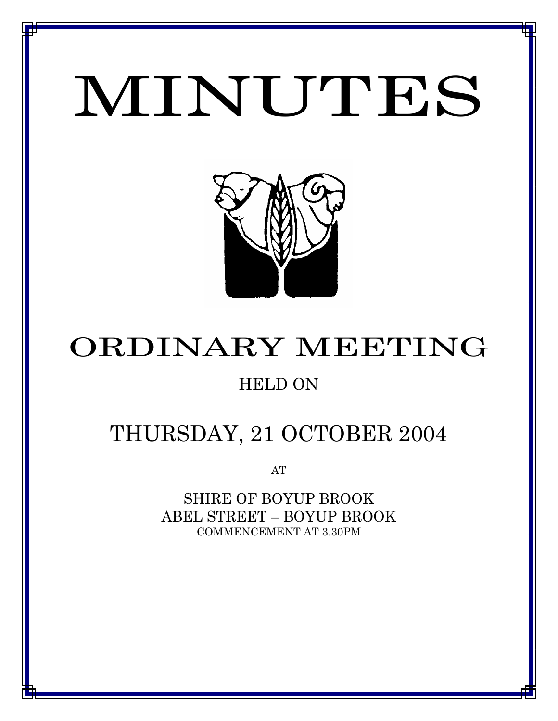# MINUTES

*MINUTES OF THE ORDINARY MEETING OF COUNCIL HELD ON 21 OCTOBER 2004*



# ORDINARY MEETING

# HELD ON

# THURSDAY, 21 OCTOBER 2004

AT

SHIRE OF BOYUP BROOK ABEL STREET – BOYUP BROOK COMMENCEMENT AT 3.30PM

<u>1 - Johann Johann Barbara, martxa a shekara 19</u>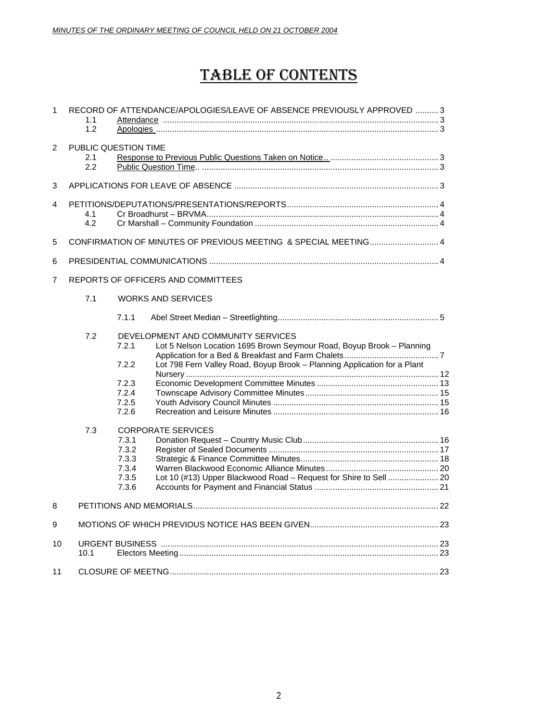## TABLE OF CONTENTS

| $\mathbf{1}$   | 1.1<br>1.2                         | RECORD OF ATTENDANCE/APOLOGIES/LEAVE OF ABSENCE PREVIOUSLY APPROVED  3 |                                                                                                             |  |  |  |
|----------------|------------------------------------|------------------------------------------------------------------------|-------------------------------------------------------------------------------------------------------------|--|--|--|
| 2              | PUBLIC QUESTION TIME<br>2.1<br>2.2 |                                                                        |                                                                                                             |  |  |  |
| 3              |                                    |                                                                        |                                                                                                             |  |  |  |
| 4              | 4.1<br>4.2                         |                                                                        |                                                                                                             |  |  |  |
| 5              |                                    |                                                                        | CONFIRMATION OF MINUTES OF PREVIOUS MEETING & SPECIAL MEETING 4                                             |  |  |  |
| 6              |                                    |                                                                        |                                                                                                             |  |  |  |
| $\overline{7}$ |                                    |                                                                        | REPORTS OF OFFICERS AND COMMITTEES                                                                          |  |  |  |
|                | 7.1                                |                                                                        | <b>WORKS AND SERVICES</b>                                                                                   |  |  |  |
|                |                                    | 7.1.1                                                                  |                                                                                                             |  |  |  |
|                | 7.2                                | 7.2.1                                                                  | DEVELOPMENT AND COMMUNITY SERVICES<br>Lot 5 Nelson Location 1695 Brown Seymour Road, Boyup Brook - Planning |  |  |  |
|                |                                    | 7.2.2                                                                  | Lot 798 Fern Valley Road, Boyup Brook - Planning Application for a Plant                                    |  |  |  |
|                |                                    | 7.2.3                                                                  |                                                                                                             |  |  |  |
|                |                                    | 7.2.4                                                                  |                                                                                                             |  |  |  |
|                |                                    | 7.2.5<br>7.2.6                                                         |                                                                                                             |  |  |  |
|                | 7.3                                |                                                                        | <b>CORPORATE SERVICES</b>                                                                                   |  |  |  |
|                |                                    | 7.3.1                                                                  |                                                                                                             |  |  |  |
|                |                                    | 7.3.2                                                                  |                                                                                                             |  |  |  |
|                |                                    | 7.3.3                                                                  |                                                                                                             |  |  |  |
|                |                                    | 7.3.4                                                                  |                                                                                                             |  |  |  |
|                |                                    | 7.3.5                                                                  | Lot 10 (#13) Upper Blackwood Road - Request for Shire to Sell  20                                           |  |  |  |
|                |                                    | 7.3.6                                                                  |                                                                                                             |  |  |  |
| 8              |                                    |                                                                        |                                                                                                             |  |  |  |
| 9              |                                    |                                                                        |                                                                                                             |  |  |  |
| 10             |                                    |                                                                        |                                                                                                             |  |  |  |
|                | 10.1                               |                                                                        |                                                                                                             |  |  |  |
| 11             |                                    |                                                                        |                                                                                                             |  |  |  |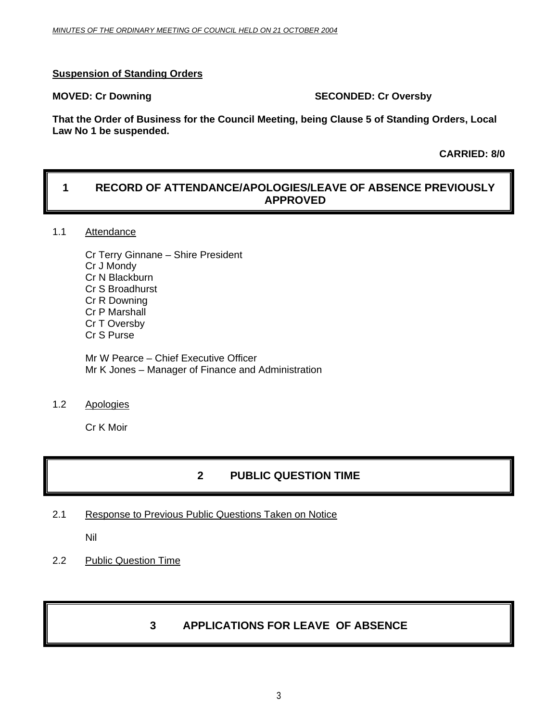### **Suspension of Standing Orders**

### **MOVED: Cr Downing Case Conducts Account SECONDED: Cr Oversby**

**That the Order of Business for the Council Meeting, being Clause 5 of Standing Orders, Local Law No 1 be suspended.** 

 **CARRIED: 8/0** 

### **1 RECORD OF ATTENDANCE/APOLOGIES/LEAVE OF ABSENCE PREVIOUSLY APPROVED**

### 1.1 Attendance

Cr Terry Ginnane – Shire President Cr J Mondy Cr N Blackburn Cr S Broadhurst Cr R Downing Cr P Marshall Cr T Oversby Cr S Purse

Mr W Pearce – Chief Executive Officer Mr K Jones – Manager of Finance and Administration

1.2 Apologies

Cr K Moir

### **2 PUBLIC QUESTION TIME**

2.1 Response to Previous Public Questions Taken on Notice

Nil

2.2 Public Question Time

### **3 APPLICATIONS FOR LEAVE OF ABSENCE**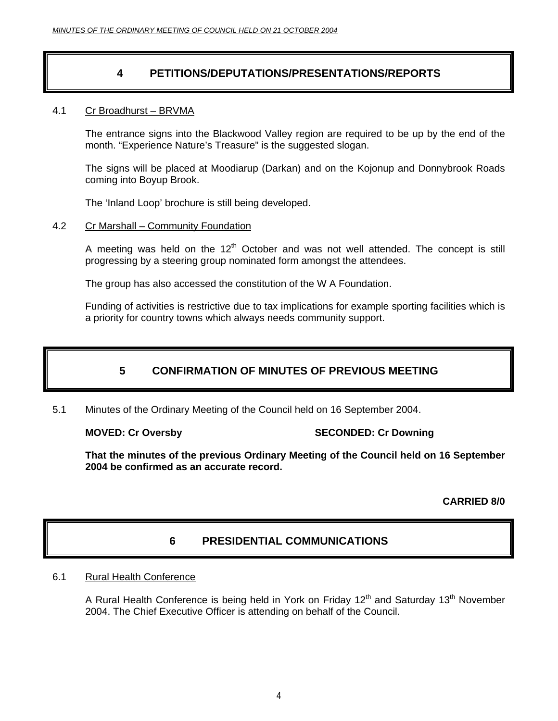### **4 PETITIONS/DEPUTATIONS/PRESENTATIONS/REPORTS**

### 4.1 Cr Broadhurst – BRVMA

The entrance signs into the Blackwood Valley region are required to be up by the end of the month. "Experience Nature's Treasure" is the suggested slogan.

The signs will be placed at Moodiarup (Darkan) and on the Kojonup and Donnybrook Roads coming into Boyup Brook.

The 'Inland Loop' brochure is still being developed.

### 4.2 Cr Marshall – Community Foundation

A meeting was held on the  $12<sup>th</sup>$  October and was not well attended. The concept is still progressing by a steering group nominated form amongst the attendees.

The group has also accessed the constitution of the W A Foundation.

Funding of activities is restrictive due to tax implications for example sporting facilities which is a priority for country towns which always needs community support.

### **5 CONFIRMATION OF MINUTES OF PREVIOUS MEETING**

5.1 Minutes of the Ordinary Meeting of the Council held on 16 September 2004.

**MOVED: Cr Oversby Canadian Control Cr Oversby Cr Downing SECONDED: Cr Downing** 

**That the minutes of the previous Ordinary Meeting of the Council held on 16 September 2004 be confirmed as an accurate record.** 

**CARRIED 8/0** 

### **6 PRESIDENTIAL COMMUNICATIONS**

### 6.1 Rural Health Conference

A Rural Health Conference is being held in York on Friday 12<sup>th</sup> and Saturday 13<sup>th</sup> November 2004. The Chief Executive Officer is attending on behalf of the Council.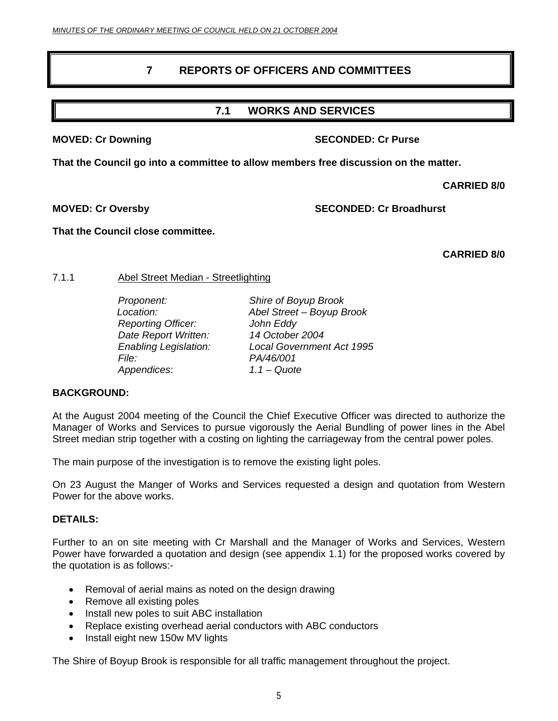### **7 REPORTS OF OFFICERS AND COMMITTEES**

### **7.1 WORKS AND SERVICES**

### **MOVED: Cr Downing Case 2018 10 SECONDED: Cr Purse 30 SECONDED: Cr Purse 30 SECONDED: Cr Purse 30 SECONDED: Cr Purse 30 SECONDED: Cr Purse 30 SECONDED: Cr Purse 30 SECONDED: Cr Purse 30 SECONDED: Cr Purse 30 SECONDED: Cr P**

**That the Council go into a committee to allow members free discussion on the matter.** 

 **CARRIED 8/0** 

**MOVED: Cr Oversby SECONDED: Cr Broadhurst** 

**That the Council close committee.** 

 **CARRIED 8/0** 

### 7.1.1 Abel Street Median - Streetlighting

 *Reporting Officer: John Eddy Date Report Written: 14 October 2004 File: PA/46/001 Appendices*: *1.1 – Quote* 

 *Proponent: Shire of Boyup Brook Location: Abel Street – Boyup Brook Enabling Legislation: Local Government Act 1995* 

### **BACKGROUND:**

At the August 2004 meeting of the Council the Chief Executive Officer was directed to authorize the Manager of Works and Services to pursue vigorously the Aerial Bundling of power lines in the Abel Street median strip together with a costing on lighting the carriageway from the central power poles.

The main purpose of the investigation is to remove the existing light poles.

On 23 August the Manger of Works and Services requested a design and quotation from Western Power for the above works.

### **DETAILS:**

Further to an on site meeting with Cr Marshall and the Manager of Works and Services, Western Power have forwarded a quotation and design (see appendix 1.1) for the proposed works covered by the quotation is as follows:-

- Removal of aerial mains as noted on the design drawing
- Remove all existing poles
- Install new poles to suit ABC installation
- Replace existing overhead aerial conductors with ABC conductors
- Install eight new 150w MV lights

The Shire of Boyup Brook is responsible for all traffic management throughout the project.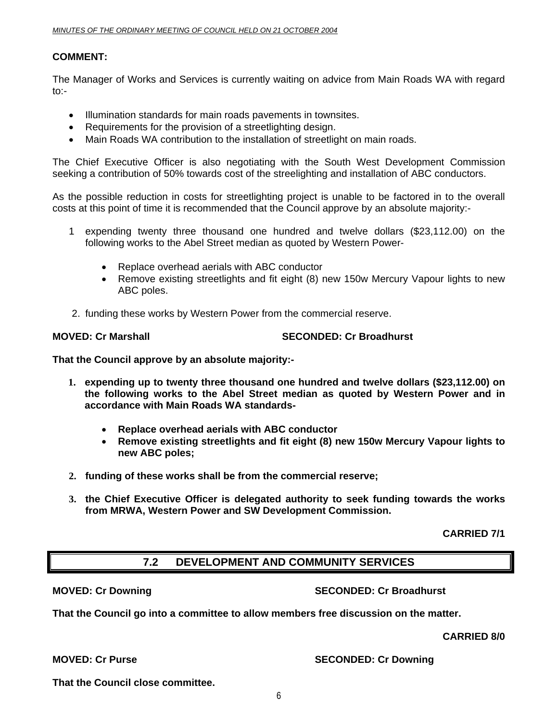### **COMMENT:**

The Manager of Works and Services is currently waiting on advice from Main Roads WA with regard to:-

- Illumination standards for main roads pavements in townsites.
- Requirements for the provision of a streetlighting design.
- Main Roads WA contribution to the installation of streetlight on main roads.

The Chief Executive Officer is also negotiating with the South West Development Commission seeking a contribution of 50% towards cost of the streelighting and installation of ABC conductors.

As the possible reduction in costs for streetlighting project is unable to be factored in to the overall costs at this point of time it is recommended that the Council approve by an absolute majority:-

- 1 expending twenty three thousand one hundred and twelve dollars (\$23,112.00) on the following works to the Abel Street median as quoted by Western Power-
	- Replace overhead aerials with ABC conductor
	- Remove existing streetlights and fit eight (8) new 150w Mercury Vapour lights to new ABC poles.
- 2. funding these works by Western Power from the commercial reserve.

### **MOVED: Cr Marshall SECONDED: Cr Broadhurst**  SECONDED: Cr Broadhurst

**That the Council approve by an absolute majority:-** 

- **1. expending up to twenty three thousand one hundred and twelve dollars (\$23,112.00) on the following works to the Abel Street median as quoted by Western Power and in accordance with Main Roads WA standards-** 
	- **Replace overhead aerials with ABC conductor**
	- **Remove existing streetlights and fit eight (8) new 150w Mercury Vapour lights to new ABC poles;**
- **2. funding of these works shall be from the commercial reserve;**
- **3. the Chief Executive Officer is delegated authority to seek funding towards the works from MRWA, Western Power and SW Development Commission.**

**CARRIED 7/1** 

### **7.2 DEVELOPMENT AND COMMUNITY SERVICES**

### **MOVED: Cr Downing Case 2018 10:00 SECONDED: Cr Broadhurst**

**That the Council go into a committee to allow members free discussion on the matter.** 

 **CARRIED 8/0** 

**MOVED: Cr Purse SECONDED: Cr Downing 1999** 

**That the Council close committee.**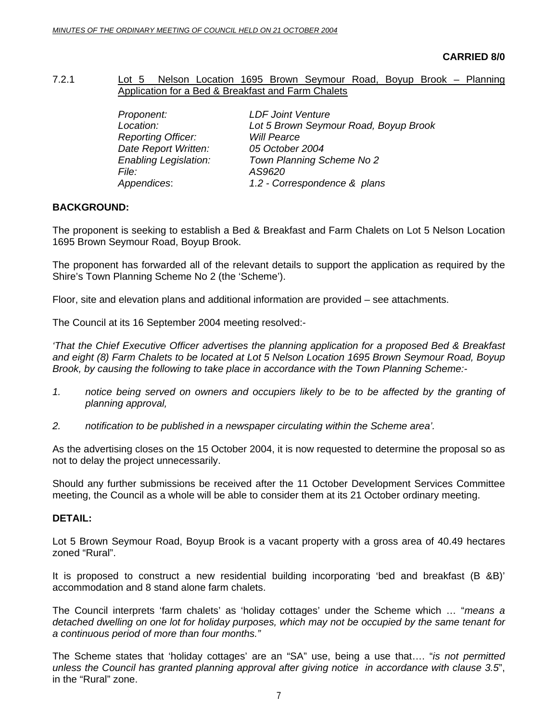### 7.2.1 Lot 5 Nelson Location 1695 Brown Seymour Road, Boyup Brook – Planning Application for a Bed & Breakfast and Farm Chalets

| Proponent:                   | <b>LDF Joint Venture</b>              |
|------------------------------|---------------------------------------|
| Location:                    | Lot 5 Brown Seymour Road, Boyup Brook |
| <b>Reporting Officer:</b>    | <b>Will Pearce</b>                    |
| Date Report Written:         | 05 October 2004                       |
| <b>Enabling Legislation:</b> | Town Planning Scheme No 2             |
| <i>File:</i>                 | AS9620                                |
| Appendices:                  | 1.2 - Correspondence & plans          |

### **BACKGROUND:**

The proponent is seeking to establish a Bed & Breakfast and Farm Chalets on Lot 5 Nelson Location 1695 Brown Seymour Road, Boyup Brook.

The proponent has forwarded all of the relevant details to support the application as required by the Shire's Town Planning Scheme No 2 (the 'Scheme').

Floor, site and elevation plans and additional information are provided – see attachments.

The Council at its 16 September 2004 meeting resolved:-

*'That the Chief Executive Officer advertises the planning application for a proposed Bed & Breakfast and eight (8) Farm Chalets to be located at Lot 5 Nelson Location 1695 Brown Seymour Road, Boyup Brook, by causing the following to take place in accordance with the Town Planning Scheme:-* 

- *1. notice being served on owners and occupiers likely to be to be affected by the granting of planning approval,*
- *2. notification to be published in a newspaper circulating within the Scheme area'.*

As the advertising closes on the 15 October 2004, it is now requested to determine the proposal so as not to delay the project unnecessarily.

Should any further submissions be received after the 11 October Development Services Committee meeting, the Council as a whole will be able to consider them at its 21 October ordinary meeting.

### **DETAIL:**

Lot 5 Brown Seymour Road, Boyup Brook is a vacant property with a gross area of 40.49 hectares zoned "Rural".

It is proposed to construct a new residential building incorporating 'bed and breakfast (B &B)' accommodation and 8 stand alone farm chalets.

The Council interprets 'farm chalets' as 'holiday cottages' under the Scheme which … "*means a detached dwelling on one lot for holiday purposes, which may not be occupied by the same tenant for a continuous period of more than four months."* 

The Scheme states that 'holiday cottages' are an "SA" use, being a use that…. "*is not permitted unless the Council has granted planning approval after giving notice in accordance with clause 3.5*", in the "Rural" zone.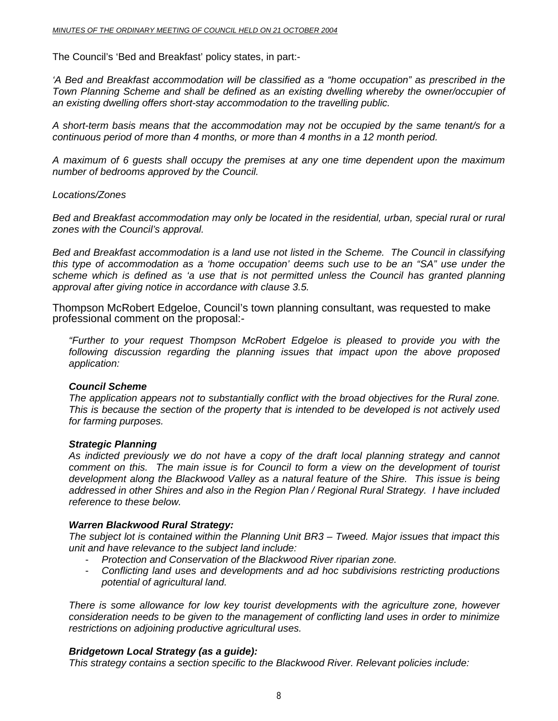The Council's 'Bed and Breakfast' policy states, in part:-

*'A Bed and Breakfast accommodation will be classified as a "home occupation" as prescribed in the Town Planning Scheme and shall be defined as an existing dwelling whereby the owner/occupier of an existing dwelling offers short-stay accommodation to the travelling public.* 

*A short-term basis means that the accommodation may not be occupied by the same tenant/s for a continuous period of more than 4 months, or more than 4 months in a 12 month period.* 

*A maximum of 6 guests shall occupy the premises at any one time dependent upon the maximum number of bedrooms approved by the Council.* 

### *Locations/Zones*

*Bed and Breakfast accommodation may only be located in the residential, urban, special rural or rural zones with the Council's approval.* 

*Bed and Breakfast accommodation is a land use not listed in the Scheme. The Council in classifying this type of accommodation as a 'home occupation' deems such use to be an "SA" use under the scheme which is defined as 'a use that is not permitted unless the Council has granted planning approval after giving notice in accordance with clause 3.5.* 

Thompson McRobert Edgeloe, Council's town planning consultant, was requested to make professional comment on the proposal:-

*"Further to your request Thompson McRobert Edgeloe is pleased to provide you with the following discussion regarding the planning issues that impact upon the above proposed application:* 

### *Council Scheme*

*The application appears not to substantially conflict with the broad objectives for the Rural zone. This is because the section of the property that is intended to be developed is not actively used for farming purposes.* 

### *Strategic Planning*

*As indicted previously we do not have a copy of the draft local planning strategy and cannot comment on this. The main issue is for Council to form a view on the development of tourist development along the Blackwood Valley as a natural feature of the Shire. This issue is being addressed in other Shires and also in the Region Plan / Regional Rural Strategy. I have included reference to these below.* 

### *Warren Blackwood Rural Strategy:*

*The subject lot is contained within the Planning Unit BR3 – Tweed. Major issues that impact this unit and have relevance to the subject land include:* 

- *Protection and Conservation of the Blackwood River riparian zone.*
- *Conflicting land uses and developments and ad hoc subdivisions restricting productions potential of agricultural land.*

*There is some allowance for low key tourist developments with the agriculture zone, however consideration needs to be given to the management of conflicting land uses in order to minimize restrictions on adjoining productive agricultural uses.* 

### *Bridgetown Local Strategy (as a guide):*

*This strategy contains a section specific to the Blackwood River. Relevant policies include:*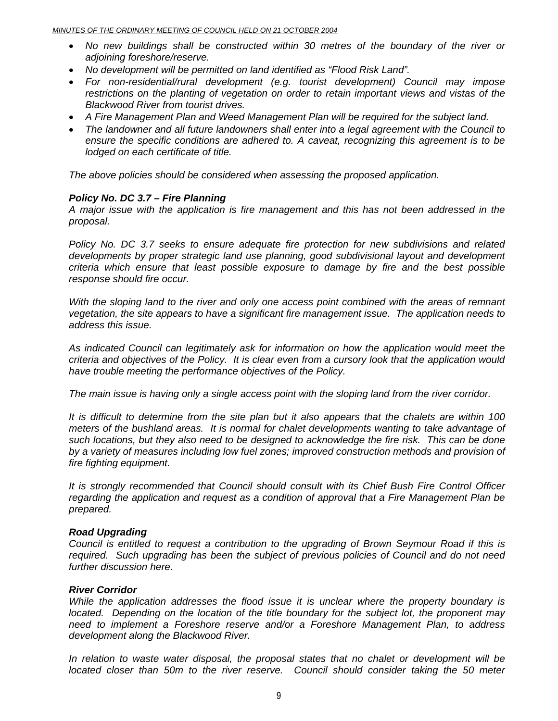- *No new buildings shall be constructed within 30 metres of the boundary of the river or adjoining foreshore/reserve.*
- *No development will be permitted on land identified as "Flood Risk Land".*
- *For non-residential/rural development (e.g. tourist development) Council may impose restrictions on the planting of vegetation on order to retain important views and vistas of the Blackwood River from tourist drives.*
- *A Fire Management Plan and Weed Management Plan will be required for the subject land.*
- *The landowner and all future landowners shall enter into a legal agreement with the Council to ensure the specific conditions are adhered to. A caveat, recognizing this agreement is to be lodged on each certificate of title.*

*The above policies should be considered when assessing the proposed application.* 

### *Policy No. DC 3.7 – Fire Planning*

*A major issue with the application is fire management and this has not been addressed in the proposal.* 

*Policy No. DC 3.7 seeks to ensure adequate fire protection for new subdivisions and related developments by proper strategic land use planning, good subdivisional layout and development criteria which ensure that least possible exposure to damage by fire and the best possible response should fire occur.* 

*With the sloping land to the river and only one access point combined with the areas of remnant vegetation, the site appears to have a significant fire management issue. The application needs to address this issue.* 

*As indicated Council can legitimately ask for information on how the application would meet the criteria and objectives of the Policy. It is clear even from a cursory look that the application would have trouble meeting the performance objectives of the Policy.* 

*The main issue is having only a single access point with the sloping land from the river corridor.* 

*It is difficult to determine from the site plan but it also appears that the chalets are within 100 meters of the bushland areas. It is normal for chalet developments wanting to take advantage of such locations, but they also need to be designed to acknowledge the fire risk. This can be done by a variety of measures including low fuel zones; improved construction methods and provision of fire fighting equipment.* 

*It is strongly recommended that Council should consult with its Chief Bush Fire Control Officer regarding the application and request as a condition of approval that a Fire Management Plan be prepared.* 

### *Road Upgrading*

*Council is entitled to request a contribution to the upgrading of Brown Seymour Road if this is required. Such upgrading has been the subject of previous policies of Council and do not need further discussion here.* 

### *River Corridor*

*While the application addresses the flood issue it is unclear where the property boundary is located.* Depending on the location of the title boundary for the subject lot, the proponent may *need to implement a Foreshore reserve and/or a Foreshore Management Plan, to address development along the Blackwood River.* 

*In relation to waste water disposal, the proposal states that no chalet or development will be located closer than 50m to the river reserve. Council should consider taking the 50 meter*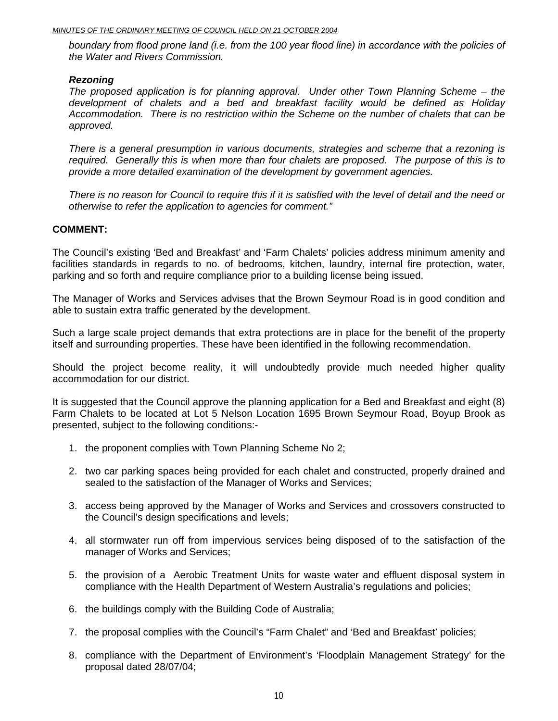*boundary from flood prone land (i.e. from the 100 year flood line) in accordance with the policies of the Water and Rivers Commission.* 

### *Rezoning*

*The proposed application is for planning approval. Under other Town Planning Scheme – the development of chalets and a bed and breakfast facility would be defined as Holiday Accommodation. There is no restriction within the Scheme on the number of chalets that can be approved.* 

*There is a general presumption in various documents, strategies and scheme that a rezoning is required. Generally this is when more than four chalets are proposed. The purpose of this is to provide a more detailed examination of the development by government agencies.* 

*There is no reason for Council to require this if it is satisfied with the level of detail and the need or otherwise to refer the application to agencies for comment."* 

### **COMMENT:**

The Council's existing 'Bed and Breakfast' and 'Farm Chalets' policies address minimum amenity and facilities standards in regards to no. of bedrooms, kitchen, laundry, internal fire protection, water, parking and so forth and require compliance prior to a building license being issued.

The Manager of Works and Services advises that the Brown Seymour Road is in good condition and able to sustain extra traffic generated by the development.

Such a large scale project demands that extra protections are in place for the benefit of the property itself and surrounding properties. These have been identified in the following recommendation.

Should the project become reality, it will undoubtedly provide much needed higher quality accommodation for our district.

It is suggested that the Council approve the planning application for a Bed and Breakfast and eight (8) Farm Chalets to be located at Lot 5 Nelson Location 1695 Brown Seymour Road, Boyup Brook as presented, subject to the following conditions:-

- 1. the proponent complies with Town Planning Scheme No 2;
- 2. two car parking spaces being provided for each chalet and constructed, properly drained and sealed to the satisfaction of the Manager of Works and Services;
- 3. access being approved by the Manager of Works and Services and crossovers constructed to the Council's design specifications and levels;
- 4. all stormwater run off from impervious services being disposed of to the satisfaction of the manager of Works and Services;
- 5. the provision of a Aerobic Treatment Units for waste water and effluent disposal system in compliance with the Health Department of Western Australia's regulations and policies;
- 6. the buildings comply with the Building Code of Australia;
- 7. the proposal complies with the Council's "Farm Chalet" and 'Bed and Breakfast' policies;
- 8. compliance with the Department of Environment's 'Floodplain Management Strategy' for the proposal dated 28/07/04;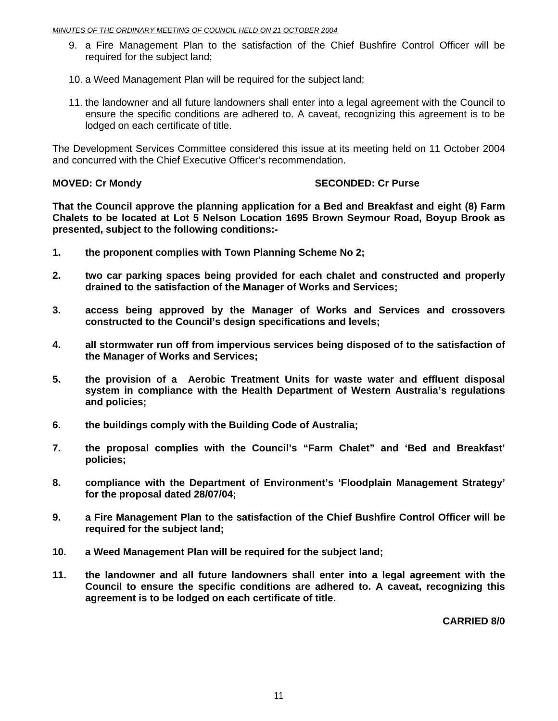- 9. a Fire Management Plan to the satisfaction of the Chief Bushfire Control Officer will be required for the subject land;
- 10. a Weed Management Plan will be required for the subject land;
- 11. the landowner and all future landowners shall enter into a legal agreement with the Council to ensure the specific conditions are adhered to. A caveat, recognizing this agreement is to be lodged on each certificate of title.

The Development Services Committee considered this issue at its meeting held on 11 October 2004 and concurred with the Chief Executive Officer's recommendation.

### **MOVED: Cr Mondy SECONDED: Cr Purse**

**That the Council approve the planning application for a Bed and Breakfast and eight (8) Farm Chalets to be located at Lot 5 Nelson Location 1695 Brown Seymour Road, Boyup Brook as presented, subject to the following conditions:-** 

- **1. the proponent complies with Town Planning Scheme No 2;**
- **2. two car parking spaces being provided for each chalet and constructed and properly drained to the satisfaction of the Manager of Works and Services;**
- **3. access being approved by the Manager of Works and Services and crossovers constructed to the Council's design specifications and levels;**
- **4. all stormwater run off from impervious services being disposed of to the satisfaction of the Manager of Works and Services;**
- **5. the provision of a Aerobic Treatment Units for waste water and effluent disposal system in compliance with the Health Department of Western Australia's regulations and policies;**
- **6. the buildings comply with the Building Code of Australia;**
- **7. the proposal complies with the Council's "Farm Chalet" and 'Bed and Breakfast' policies;**
- **8. compliance with the Department of Environment's 'Floodplain Management Strategy' for the proposal dated 28/07/04;**
- **9. a Fire Management Plan to the satisfaction of the Chief Bushfire Control Officer will be required for the subject land;**
- **10. a Weed Management Plan will be required for the subject land;**
- **11. the landowner and all future landowners shall enter into a legal agreement with the Council to ensure the specific conditions are adhered to. A caveat, recognizing this agreement is to be lodged on each certificate of title.**

**CARRIED 8/0**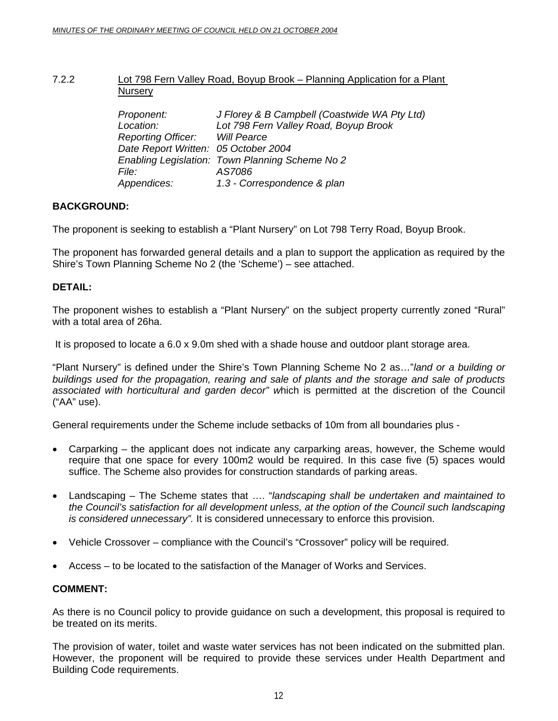### 7.2.2 **Lot 798 Fern Valley Road, Boyup Brook – Planning Application for a Plant Nursery**

| Proponent:                            | J Florey & B Campbell (Coastwide WA Pty Ltd)    |
|---------------------------------------|-------------------------------------------------|
| Location:                             | Lot 798 Fern Valley Road, Boyup Brook           |
| <b>Reporting Officer:</b> Will Pearce |                                                 |
| Date Report Written: 05 October 2004  |                                                 |
|                                       | Enabling Legislation: Town Planning Scheme No 2 |
| <i>File:</i>                          | AS7086                                          |
| Appendices:                           | 1.3 - Correspondence & plan                     |
|                                       |                                                 |

### **BACKGROUND:**

The proponent is seeking to establish a "Plant Nursery" on Lot 798 Terry Road, Boyup Brook.

The proponent has forwarded general details and a plan to support the application as required by the Shire's Town Planning Scheme No 2 (the 'Scheme') – see attached.

### **DETAIL:**

The proponent wishes to establish a "Plant Nursery" on the subject property currently zoned "Rural" with a total area of 26ha.

It is proposed to locate a 6.0 x 9.0m shed with a shade house and outdoor plant storage area.

"Plant Nursery" is defined under the Shire's Town Planning Scheme No 2 as…"*land or a building or buildings used for the propagation, rearing and sale of plants and the storage and sale of products associated with horticultural and garden decor" w*hich is permitted at the discretion of the Council ("AA" use).

General requirements under the Scheme include setbacks of 10m from all boundaries plus -

- Carparking the applicant does not indicate any carparking areas, however, the Scheme would require that one space for every 100m2 would be required. In this case five (5) spaces would suffice. The Scheme also provides for construction standards of parking areas.
- Landscaping The Scheme states that …. "*landscaping shall be undertaken and maintained to the Council's satisfaction for all development unless, at the option of the Council such landscaping is considered unnecessary".* It is considered unnecessary to enforce this provision.
- Vehicle Crossover compliance with the Council's "Crossover" policy will be required.
- Access to be located to the satisfaction of the Manager of Works and Services.

### **COMMENT:**

As there is no Council policy to provide guidance on such a development, this proposal is required to be treated on its merits.

The provision of water, toilet and waste water services has not been indicated on the submitted plan. However, the proponent will be required to provide these services under Health Department and Building Code requirements.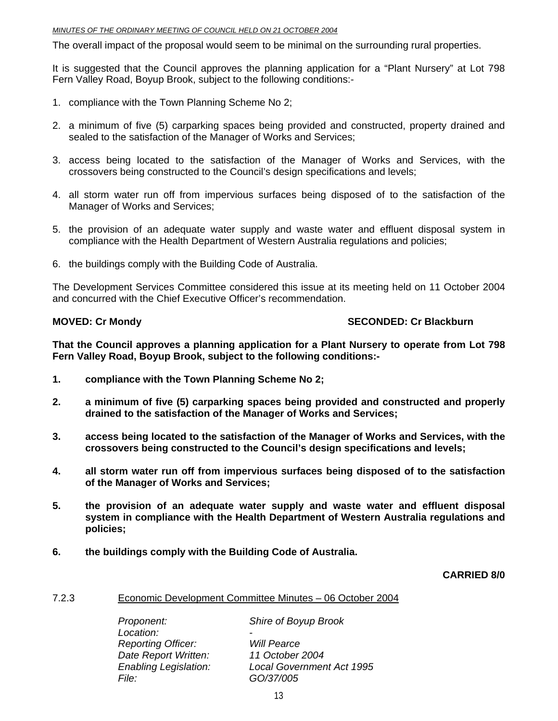The overall impact of the proposal would seem to be minimal on the surrounding rural properties.

It is suggested that the Council approves the planning application for a "Plant Nursery" at Lot 798 Fern Valley Road, Boyup Brook, subject to the following conditions:-

- 1. compliance with the Town Planning Scheme No 2;
- 2. a minimum of five (5) carparking spaces being provided and constructed, property drained and sealed to the satisfaction of the Manager of Works and Services;
- 3. access being located to the satisfaction of the Manager of Works and Services, with the crossovers being constructed to the Council's design specifications and levels;
- 4. all storm water run off from impervious surfaces being disposed of to the satisfaction of the Manager of Works and Services;
- 5. the provision of an adequate water supply and waste water and effluent disposal system in compliance with the Health Department of Western Australia regulations and policies;
- 6. the buildings comply with the Building Code of Australia.

The Development Services Committee considered this issue at its meeting held on 11 October 2004 and concurred with the Chief Executive Officer's recommendation.

### **MOVED: Cr Mondy Note 2008 CONDED: Cr Blackburn 1000 CONDED: Cr Blackburn 1000 CONDED: Cr Blackburn 1000 CONDED: Cr Blackburn 1000 CONDED: Cr Blackburn 1000 CONDED: Cr Blackburn 1000 CONDED: Cr Blackburn 1000 CONDED: Cr Bl**

**That the Council approves a planning application for a Plant Nursery to operate from Lot 798 Fern Valley Road, Boyup Brook, subject to the following conditions:-** 

- **1. compliance with the Town Planning Scheme No 2;**
- **2. a minimum of five (5) carparking spaces being provided and constructed and properly drained to the satisfaction of the Manager of Works and Services;**
- **3. access being located to the satisfaction of the Manager of Works and Services, with the crossovers being constructed to the Council's design specifications and levels;**
- **4. all storm water run off from impervious surfaces being disposed of to the satisfaction of the Manager of Works and Services;**
- **5. the provision of an adequate water supply and waste water and effluent disposal system in compliance with the Health Department of Western Australia regulations and policies;**
- **6. the buildings comply with the Building Code of Australia.**

### **CARRIED 8/0**

### 7.2.3 Economic Development Committee Minutes – 06 October 2004

 *Proponent: Shire of Boyup Brook*  Location:  *Reporting Officer: Will Pearce Date Report Written: 11 October 2004 File: GO/37/005* 

 *Enabling Legislation: Local Government Act 1995*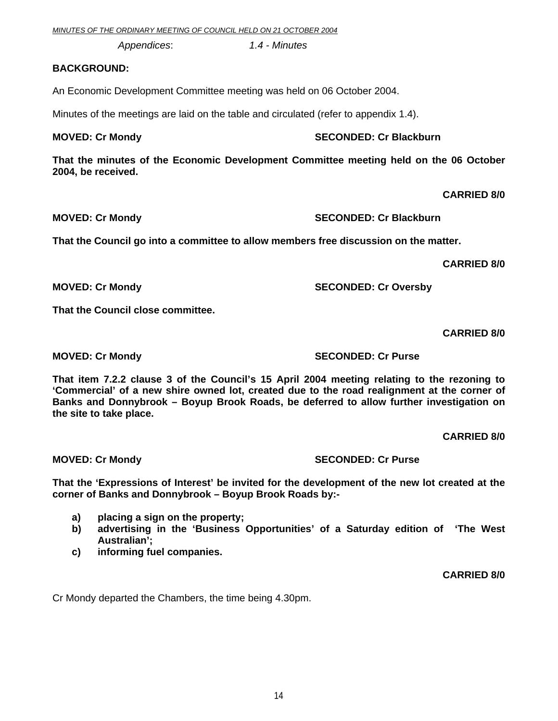*MINUTES OF THE ORDINARY MEETING OF COUNCIL HELD ON 21 OCTOBER 2004*

 *Appendices*: *1.4 - Minutes* 

### **BACKGROUND:**

An Economic Development Committee meeting was held on 06 October 2004.

Minutes of the meetings are laid on the table and circulated (refer to appendix 1.4).

### **MOVED: Cr Mondy SECONDED: Cr Blackburn**

**That the minutes of the Economic Development Committee meeting held on the 06 October 2004, be received.** 

**CARRIED 8/0** 

**MOVED: Cr Mondy SECONDED: Cr Blackburn** 

**That the Council go into a committee to allow members free discussion on the matter.** 

**MOVED: Cr Mondy SECONDED: Cr Oversby** 

 **CARRIED 8/0** 

**That the Council close committee.** 

 **CARRIED 8/0** 

**That item 7.2.2 clause 3 of the Council's 15 April 2004 meeting relating to the rezoning to 'Commercial' of a new shire owned lot, created due to the road realignment at the corner of Banks and Donnybrook – Boyup Brook Roads, be deferred to allow further investigation on the site to take place.** 

 **CARRIED 8/0** 

**MOVED: Cr Mondy SECONDED: Cr Purse** 

**That the 'Expressions of Interest' be invited for the development of the new lot created at the corner of Banks and Donnybrook – Boyup Brook Roads by:-** 

- **a) placing a sign on the property;**
- **b) advertising in the 'Business Opportunities' of a Saturday edition of 'The West Australian';**
- **c) informing fuel companies.**

**CARRIED 8/0** 

Cr Mondy departed the Chambers, the time being 4.30pm.

**MOVED: Cr Mondy SECONDED: Cr Purse**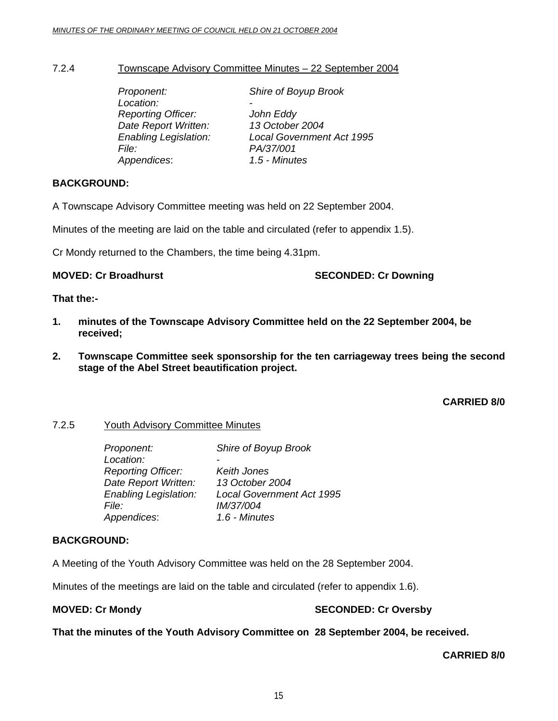### 7.2.4 Townscape Advisory Committee Minutes – 22 September 2004

| Proponent:                   | Shire of Boyup Brook             |
|------------------------------|----------------------------------|
| Location:                    |                                  |
| <b>Reporting Officer:</b>    | John Eddy                        |
| Date Report Written:         | 13 October 2004                  |
| <b>Enabling Legislation:</b> | <b>Local Government Act 1995</b> |
| <i>File:</i>                 | PA/37/001                        |
| Appendices:                  | 1.5 - Minutes                    |

### **BACKGROUND:**

A Townscape Advisory Committee meeting was held on 22 September 2004.

Minutes of the meeting are laid on the table and circulated (refer to appendix 1.5).

Cr Mondy returned to the Chambers, the time being 4.31pm.

**MOVED: Cr Broadhurst SECONDED: Cr Downing SECONDED: Cr Downing** 

### **That the:-**

- **1. minutes of the Townscape Advisory Committee held on the 22 September 2004, be received;**
- **2. Townscape Committee seek sponsorship for the ten carriageway trees being the second stage of the Abel Street beautification project.**

### **CARRIED 8/0**

### 7.2.5 Youth Advisory Committee Minutes

| <b>Local Government Act 1995</b> |
|----------------------------------|
|                                  |
|                                  |
|                                  |

### **BACKGROUND:**

A Meeting of the Youth Advisory Committee was held on the 28 September 2004.

Minutes of the meetings are laid on the table and circulated (refer to appendix 1.6).

### **MOVED: Cr Mondy SECONDED: Cr Oversby**

**That the minutes of the Youth Advisory Committee on 28 September 2004, be received.** 

### **CARRIED 8/0**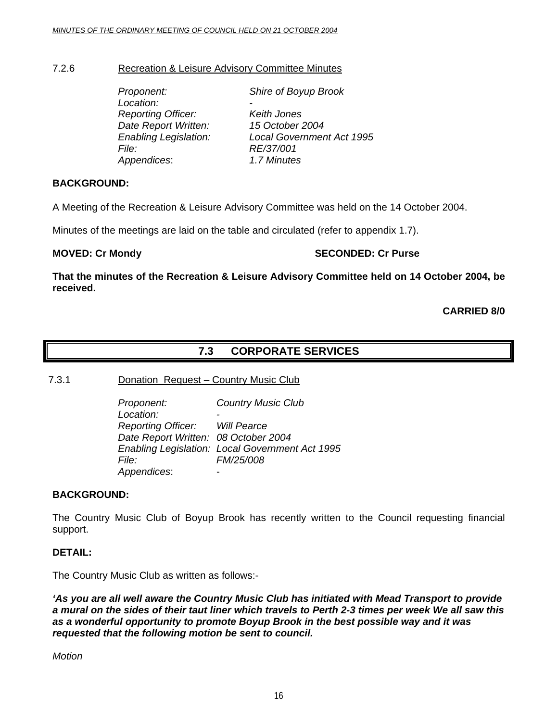### 7.2.6 Recreation & Leisure Advisory Committee Minutes

| Shire of Boyup Brook             |
|----------------------------------|
|                                  |
| Keith Jones                      |
| 15 October 2004                  |
| <b>Local Government Act 1995</b> |
| RE/37/001                        |
| 1.7 Minutes                      |
|                                  |

### **BACKGROUND:**

A Meeting of the Recreation & Leisure Advisory Committee was held on the 14 October 2004.

Minutes of the meetings are laid on the table and circulated (refer to appendix 1.7).

**MOVED: Cr Mondy SECONDED: Cr Purse** 

**That the minutes of the Recreation & Leisure Advisory Committee held on 14 October 2004, be received.** 

**CARRIED 8/0** 

### **7.3 CORPORATE SERVICES**

7.3.1 Donation Request – Country Music Club

 *Proponent: Country Music Club*  Location:  *Reporting Officer: Will Pearce Date Report Written: 08 October 2004 Enabling Legislation: Local Government Act 1995 File: FM/25/008 Appendices*: -

### **BACKGROUND:**

The Country Music Club of Boyup Brook has recently written to the Council requesting financial support.

### **DETAIL:**

The Country Music Club as written as follows:-

*'As you are all well aware the Country Music Club has initiated with Mead Transport to provide a mural on the sides of their taut liner which travels to Perth 2-3 times per week We all saw this as a wonderful opportunity to promote Boyup Brook in the best possible way and it was requested that the following motion be sent to council.* 

*Motion*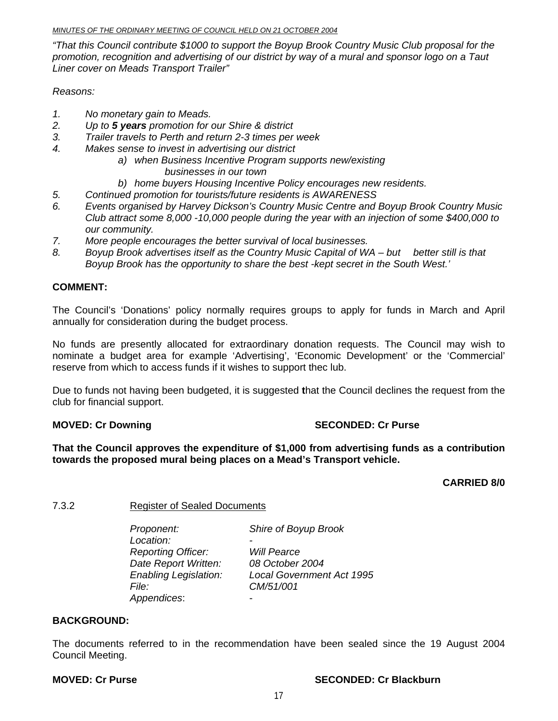### *MINUTES OF THE ORDINARY MEETING OF COUNCIL HELD ON 21 OCTOBER 2004*

*"That this Council contribute \$1000 to support the Boyup Brook Country Music Club proposal for the promotion, recognition and advertising of our district by way of a mural and sponsor logo on a Taut Liner cover on Meads Transport Trailer"* 

*Reasons:* 

- *1. No monetary gain to Meads.*
- *2. Up to 5 years promotion for our Shire & district*
- *3. Trailer travels to Perth and return 2-3 times per week*
- *4. Makes sense to invest in advertising our district* 
	- *a) when Business Incentive Program supports new/existing businesses in our town*
	- *b) home buyers Housing Incentive Policy encourages new residents.*
- *5. Continued promotion for tourists/future residents is AWARENESS*
- *6. Events organised by Harvey Dickson's Country Music Centre and Boyup Brook Country Music Club attract some 8,000 -10,000 people during the year with an injection of some \$400,000 to our community.*
- *7. More people encourages the better survival of local businesses.*
- *8. Boyup Brook advertises itself as the Country Music Capital of WA but better still is that Boyup Brook has the opportunity to share the best -kept secret in the South West.'*

### **COMMENT:**

The Council's 'Donations' policy normally requires groups to apply for funds in March and April annually for consideration during the budget process.

No funds are presently allocated for extraordinary donation requests. The Council may wish to nominate a budget area for example 'Advertising', 'Economic Development' or the 'Commercial' reserve from which to access funds if it wishes to support thec lub.

Due to funds not having been budgeted, it is suggested **t**hat the Council declines the request from the club for financial support.

### **MOVED: Cr Downing Case 2018 10 SECONDED: Cr Purse 30 SECONDED: Cr Purse**

**That the Council approves the expenditure of \$1,000 from advertising funds as a contribution towards the proposed mural being places on a Mead's Transport vehicle.** 

 **CARRIED 8/0** 

### 7.3.2 Register of Sealed Documents

*Proponent: Shire of Boyup Brook*  Location:  *Reporting Officer: Will Pearce Date Report Written: 08 October 2004 File: CM/51/001 Appendices*: -

 *Enabling Legislation: Local Government Act 1995* 

### **BACKGROUND:**

The documents referred to in the recommendation have been sealed since the 19 August 2004 Council Meeting.

### **MOVED: Cr Purse SECONDED: Cr Blackburn**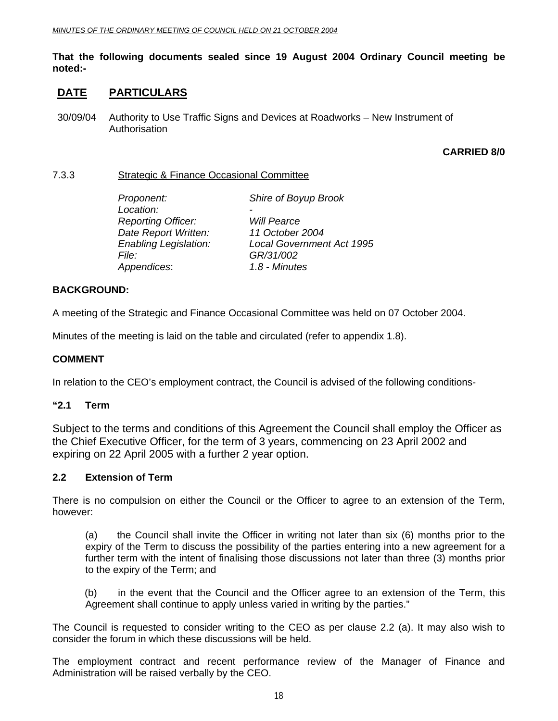### **That the following documents sealed since 19 August 2004 Ordinary Council meeting be noted:-**

### **DATE PARTICULARS**

30/09/04 Authority to Use Traffic Signs and Devices at Roadworks – New Instrument of Authorisation

### **CARRIED 8/0**

### 7.3.3 Strategic & Finance Occasional Committee

| Proponent:                   | Shire of Boyup Brook             |
|------------------------------|----------------------------------|
| Location:                    |                                  |
| <b>Reporting Officer:</b>    | <b>Will Pearce</b>               |
| Date Report Written:         | 11 October 2004                  |
| <b>Enabling Legislation:</b> | <b>Local Government Act 1995</b> |
| File:                        | GR/31/002                        |
| Appendices:                  | 1.8 - Minutes                    |
|                              |                                  |

### **BACKGROUND:**

A meeting of the Strategic and Finance Occasional Committee was held on 07 October 2004.

Minutes of the meeting is laid on the table and circulated (refer to appendix 1.8).

### **COMMENT**

In relation to the CEO's employment contract, the Council is advised of the following conditions-

### **"2.1 Term**

Subject to the terms and conditions of this Agreement the Council shall employ the Officer as the Chief Executive Officer, for the term of 3 years, commencing on 23 April 2002 and expiring on 22 April 2005 with a further 2 year option.

### **2.2 Extension of Term**

There is no compulsion on either the Council or the Officer to agree to an extension of the Term, however:

 (a) the Council shall invite the Officer in writing not later than six (6) months prior to the expiry of the Term to discuss the possibility of the parties entering into a new agreement for a further term with the intent of finalising those discussions not later than three (3) months prior to the expiry of the Term; and

(b) in the event that the Council and the Officer agree to an extension of the Term, this Agreement shall continue to apply unless varied in writing by the parties."

The Council is requested to consider writing to the CEO as per clause 2.2 (a). It may also wish to consider the forum in which these discussions will be held.

The employment contract and recent performance review of the Manager of Finance and Administration will be raised verbally by the CEO.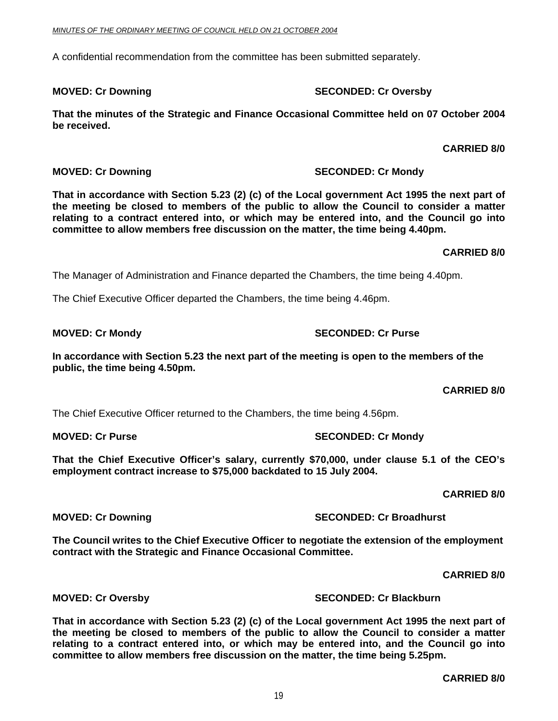A confidential recommendation from the committee has been submitted separately.

**MOVED: Cr Downing Case 2018 10 SECONDED: Cr Oversby** 

**That the minutes of the Strategic and Finance Occasional Committee held on 07 October 2004 be received.** 

**CARRIED 8/0** 

 **CARRIED 8/0** 

**MOVED: Cr Downing Case Conduct 2 Cr Account SECONDED: Cr Mondy SECONDED: Cr Mondy** 

**That in accordance with Section 5.23 (2) (c) of the Local government Act 1995 the next part of the meeting be closed to members of the public to allow the Council to consider a matter relating to a contract entered into, or which may be entered into, and the Council go into committee to allow members free discussion on the matter, the time being 4.40pm.** 

The Manager of Administration and Finance departed the Chambers, the time being 4.40pm.

The Chief Executive Officer departed the Chambers, the time being 4.46pm.

**In accordance with Section 5.23 the next part of the meeting is open to the members of the public, the time being 4.50pm.** 

The Chief Executive Officer returned to the Chambers, the time being 4.56pm.

**MOVED: Cr Purse SECONDED: Cr Mondy SECONDED: Cr Mondy** 

 **That the Chief Executive Officer's salary, currently \$70,000, under clause 5.1 of the CEO's employment contract increase to \$75,000 backdated to 15 July 2004.** 

 **CARRIED 8/0** 

 **CARRIED 8/0** 

**MOVED: Cr Downing Case 2018 10:00 SECONDED: Cr Broadhurst** 

**The Council writes to the Chief Executive Officer to negotiate the extension of the employment contract with the Strategic and Finance Occasional Committee.** 

 **CARRIED 8/0** 

**MOVED: Cr Oversby SECONDED: Cr Blackburn** 

**That in accordance with Section 5.23 (2) (c) of the Local government Act 1995 the next part of the meeting be closed to members of the public to allow the Council to consider a matter relating to a contract entered into, or which may be entered into, and the Council go into committee to allow members free discussion on the matter, the time being 5.25pm.** 

### **MOVED: Cr Mondy SECONDED: Cr Purse**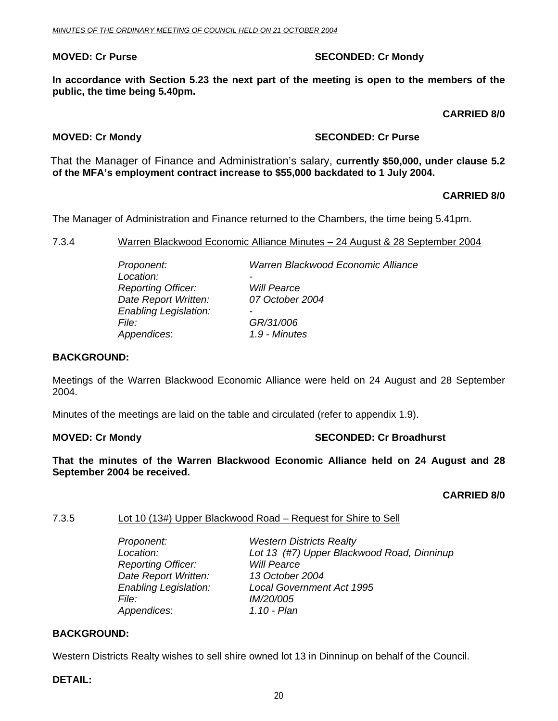### **MOVED: Cr Purse SECONDED: Cr Mondy SECONDED: Cr Mondy**

**In accordance with Section 5.23 the next part of the meeting is open to the members of the public, the time being 5.40pm.** 

### **CARRIED 8/0**

### **MOVED: Cr Mondy SECONDED: Cr Purse**

 That the Manager of Finance and Administration's salary, **currently \$50,000, under clause 5.2 of the MFA's employment contract increase to \$55,000 backdated to 1 July 2004.** 

### **CARRIED 8/0**

The Manager of Administration and Finance returned to the Chambers, the time being 5.41pm.

7.3.4 Warren Blackwood Economic Alliance Minutes – 24 August & 28 September 2004

| Warren Blackwood Economic Alliance |
|------------------------------------|
| -<br><b>Will Pearce</b>            |
| 07 October 2004                    |
| $\overline{\phantom{0}}$           |
| GR/31/006                          |
| 1.9 - Minutes                      |
|                                    |

### **BACKGROUND:**

Meetings of the Warren Blackwood Economic Alliance were held on 24 August and 28 September 2004.

Minutes of the meetings are laid on the table and circulated (refer to appendix 1.9).

### **MOVED: Cr Mondy Case 2018 19:30 SECONDED: Cr Broadhurst**

**That the minutes of the Warren Blackwood Economic Alliance held on 24 August and 28 September 2004 be received.** 

**CARRIED 8/0** 

### 7.3.5 Lot 10 (13#) Upper Blackwood Road – Request for Shire to Sell

| Proponent:                   | <b>Western Districts Realty</b>            |
|------------------------------|--------------------------------------------|
| Location:                    | Lot 13 (#7) Upper Blackwood Road, Dinninup |
| <b>Reporting Officer:</b>    | <b>Will Pearce</b>                         |
| Date Report Written:         | 13 October 2004                            |
| <b>Enabling Legislation:</b> | <b>Local Government Act 1995</b>           |
| <i>File:</i>                 | <i>IM/20/005</i>                           |
| Appendices:                  | 1.10 - Plan                                |

### **BACKGROUND:**

Western Districts Realty wishes to sell shire owned lot 13 in Dinninup on behalf of the Council.

**DETAIL:**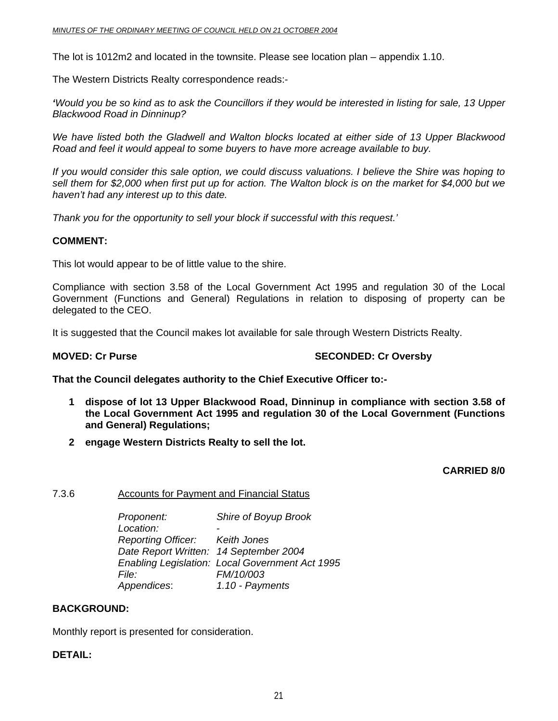The lot is 1012m2 and located in the townsite. Please see location plan – appendix 1.10.

The Western Districts Realty correspondence reads:-

*'Would you be so kind as to ask the Councillors if they would be interested in listing for sale, 13 Upper Blackwood Road in Dinninup?* 

*We have listed both the Gladwell and Walton blocks located at either side of 13 Upper Blackwood Road and feel it would appeal to some buyers to have more acreage available to buy.* 

*If you would consider this sale option, we could discuss valuations. I believe the Shire was hoping to sell them for \$2,000 when first put up for action. The Walton block is on the market for \$4,000 but we haven't had any interest up to this date.* 

*Thank you for the opportunity to sell your block if successful with this request.'* 

### **COMMENT:**

This lot would appear to be of little value to the shire.

Compliance with section 3.58 of the Local Government Act 1995 and regulation 30 of the Local Government (Functions and General) Regulations in relation to disposing of property can be delegated to the CEO.

It is suggested that the Council makes lot available for sale through Western Districts Realty.

### **MOVED: Cr Purse SECONDED: Cr Oversby**

**That the Council delegates authority to the Chief Executive Officer to:-** 

- **1 dispose of lot 13 Upper Blackwood Road, Dinninup in compliance with section 3.58 of the Local Government Act 1995 and regulation 30 of the Local Government (Functions and General) Regulations;**
- **2 engage Western Districts Realty to sell the lot.**

**CARRIED 8/0** 

### 7.3.6 Accounts for Payment and Financial Status

*Proponent: Shire of Boyup Brook*  Location:  *Reporting Officer: Keith Jones Date Report Written: 14 September 2004 Enabling Legislation: Local Government Act 1995 File: FM/10/003 Appendices*: *1.10 - Payments* 

### **BACKGROUND:**

Monthly report is presented for consideration.

### **DETAIL:**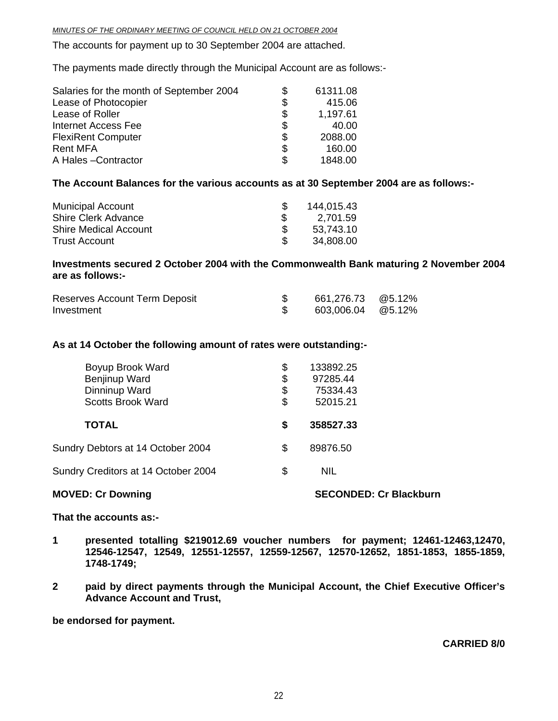*MINUTES OF THE ORDINARY MEETING OF COUNCIL HELD ON 21 OCTOBER 2004*

The accounts for payment up to 30 September 2004 are attached.

The payments made directly through the Municipal Account are as follows:-

| Salaries for the month of September 2004 | \$ | 61311.08 |
|------------------------------------------|----|----------|
| Lease of Photocopier                     | \$ | 415.06   |
| Lease of Roller                          | \$ | 1,197.61 |
| Internet Access Fee                      | \$ | 40.00    |
| <b>FlexiRent Computer</b>                | \$ | 2088.00  |
| <b>Rent MFA</b>                          | \$ | 160.00   |
| A Hales-Contractor                       | S  | 1848.00  |

### **The Account Balances for the various accounts as at 30 September 2004 are as follows:-**

| <b>Municipal Account</b>     | 144,015.43 |
|------------------------------|------------|
| <b>Shire Clerk Advance</b>   | 2,701.59   |
| <b>Shire Medical Account</b> | 53,743.10  |
| <b>Trust Account</b>         | 34,808.00  |

### **Investments secured 2 October 2004 with the Commonwealth Bank maturing 2 November 2004 are as follows:-**

| Reserves Account Term Deposit | 661,276.73 @5.12% |  |
|-------------------------------|-------------------|--|
| Investment                    | 603,006.04 @5.12% |  |

### **As at 14 October the following amount of rates were outstanding:-**

| Boyup Brook Ward<br>Benjinup Ward<br>Dinninup Ward<br><b>Scotts Brook Ward</b> | \$<br>\$<br>\$<br>\$ | 133892.25<br>97285.44<br>75334.43<br>52015.21 |
|--------------------------------------------------------------------------------|----------------------|-----------------------------------------------|
| <b>TOTAL</b>                                                                   | \$                   | 358527.33                                     |
| Sundry Debtors at 14 October 2004                                              | \$                   | 89876.50                                      |
| Sundry Creditors at 14 October 2004                                            | \$                   | <b>NIL</b>                                    |
|                                                                                |                      |                                               |

### **MOVED: Cr Downing Case Conducts Account SECONDED: Cr Blackburn and SECONDED: Cr Blackburn**

**That the accounts as:-** 

- **1 presented totalling \$219012.69 voucher numbers for payment; 12461-12463,12470, 12546-12547, 12549, 12551-12557, 12559-12567, 12570-12652, 1851-1853, 1855-1859, 1748-1749;**
- **2 paid by direct payments through the Municipal Account, the Chief Executive Officer's Advance Account and Trust,**

**be endorsed for payment.** 

### **CARRIED 8/0**